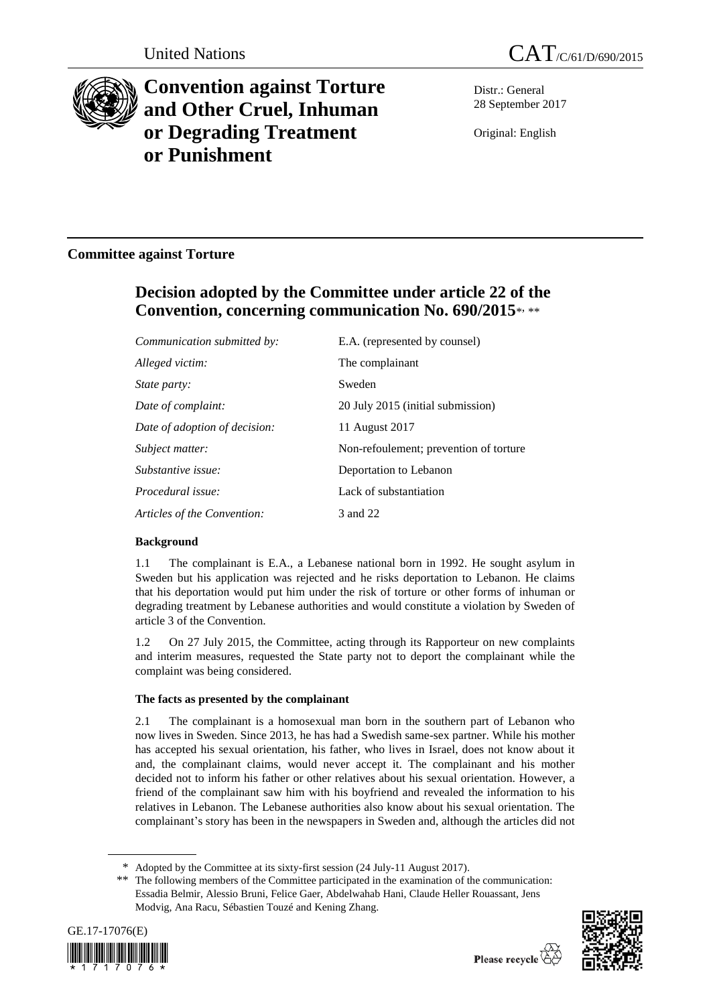



# **Convention against Torture and Other Cruel, Inhuman or Degrading Treatment or Punishment**

Distr.: General 28 September 2017

Original: English

## **Committee against Torture**

## **Decision adopted by the Committee under article 22 of the Convention, concerning communication No. 690/2015**\* , \*\*

| Communication submitted by:   | E.A. (represented by counsel)          |
|-------------------------------|----------------------------------------|
| Alleged victim:               | The complainant                        |
| <i>State party:</i>           | Sweden                                 |
| Date of complaint:            | 20 July 2015 (initial submission)      |
| Date of adoption of decision: | 11 August 2017                         |
| Subject matter:               | Non-refoulement; prevention of torture |
| Substantive issue:            | Deportation to Lebanon                 |
| Procedural issue:             | Lack of substantiation                 |
| Articles of the Convention:   | 3 and 22                               |

## **Background**

1.1 The complainant is E.A., a Lebanese national born in 1992. He sought asylum in Sweden but his application was rejected and he risks deportation to Lebanon. He claims that his deportation would put him under the risk of torture or other forms of inhuman or degrading treatment by Lebanese authorities and would constitute a violation by Sweden of article 3 of the Convention.

1.2 On 27 July 2015, the Committee, acting through its Rapporteur on new complaints and interim measures, requested the State party not to deport the complainant while the complaint was being considered.

## **The facts as presented by the complainant**

2.1 The complainant is a homosexual man born in the southern part of Lebanon who now lives in Sweden. Since 2013, he has had a Swedish same-sex partner. While his mother has accepted his sexual orientation, his father, who lives in Israel, does not know about it and, the complainant claims, would never accept it. The complainant and his mother decided not to inform his father or other relatives about his sexual orientation. However, a friend of the complainant saw him with his boyfriend and revealed the information to his relatives in Lebanon. The Lebanese authorities also know about his sexual orientation. The complainant's story has been in the newspapers in Sweden and, although the articles did not

<sup>\*\*</sup> The following members of the Committee participated in the examination of the communication: Essadia Belmir, Alessio Bruni, Felice Gaer, Abdelwahab Hani, Claude Heller Rouassant, Jens Modvig, Ana Racu, Sébastien Touzé and Kening Zhang.





<sup>\*</sup> Adopted by the Committee at its sixty-first session (24 July-11 August 2017).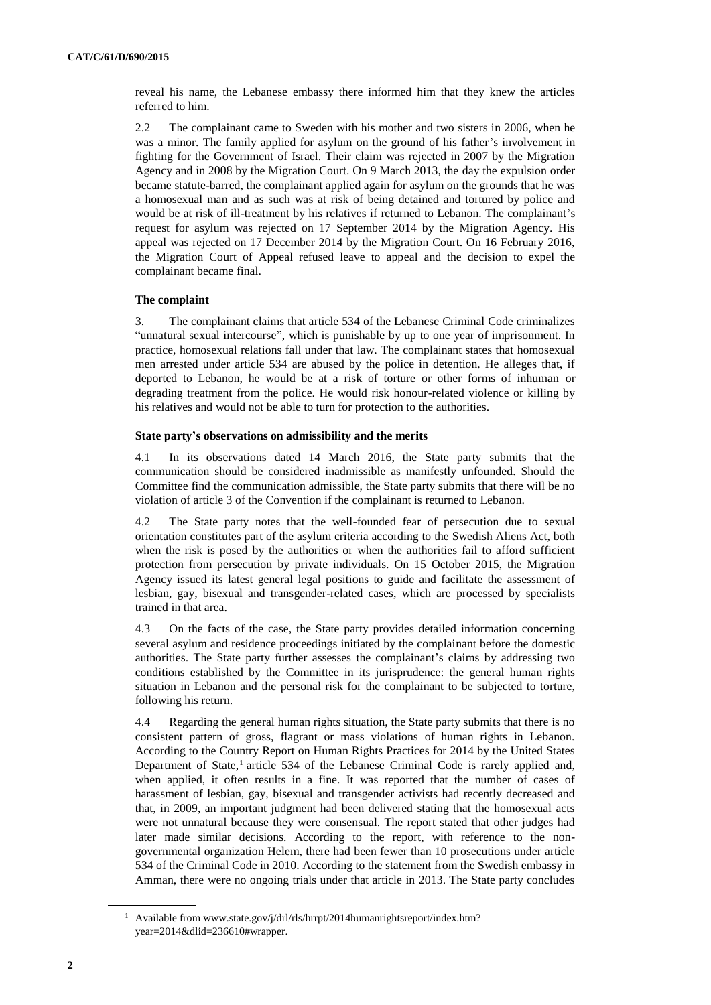reveal his name, the Lebanese embassy there informed him that they knew the articles referred to him.

2.2 The complainant came to Sweden with his mother and two sisters in 2006, when he was a minor. The family applied for asylum on the ground of his father's involvement in fighting for the Government of Israel. Their claim was rejected in 2007 by the Migration Agency and in 2008 by the Migration Court. On 9 March 2013, the day the expulsion order became statute-barred, the complainant applied again for asylum on the grounds that he was a homosexual man and as such was at risk of being detained and tortured by police and would be at risk of ill-treatment by his relatives if returned to Lebanon. The complainant's request for asylum was rejected on 17 September 2014 by the Migration Agency. His appeal was rejected on 17 December 2014 by the Migration Court. On 16 February 2016, the Migration Court of Appeal refused leave to appeal and the decision to expel the complainant became final.

#### **The complaint**

3. The complainant claims that article 534 of the Lebanese Criminal Code criminalizes "unnatural sexual intercourse", which is punishable by up to one year of imprisonment. In practice, homosexual relations fall under that law. The complainant states that homosexual men arrested under article 534 are abused by the police in detention. He alleges that, if deported to Lebanon, he would be at a risk of torture or other forms of inhuman or degrading treatment from the police. He would risk honour-related violence or killing by his relatives and would not be able to turn for protection to the authorities.

#### **State party's observations on admissibility and the merits**

4.1 In its observations dated 14 March 2016, the State party submits that the communication should be considered inadmissible as manifestly unfounded. Should the Committee find the communication admissible, the State party submits that there will be no violation of article 3 of the Convention if the complainant is returned to Lebanon.

4.2 The State party notes that the well-founded fear of persecution due to sexual orientation constitutes part of the asylum criteria according to the Swedish Aliens Act, both when the risk is posed by the authorities or when the authorities fail to afford sufficient protection from persecution by private individuals. On 15 October 2015, the Migration Agency issued its latest general legal positions to guide and facilitate the assessment of lesbian, gay, bisexual and transgender-related cases, which are processed by specialists trained in that area.

4.3 On the facts of the case, the State party provides detailed information concerning several asylum and residence proceedings initiated by the complainant before the domestic authorities. The State party further assesses the complainant's claims by addressing two conditions established by the Committee in its jurisprudence: the general human rights situation in Lebanon and the personal risk for the complainant to be subjected to torture, following his return.

4.4 Regarding the general human rights situation, the State party submits that there is no consistent pattern of gross, flagrant or mass violations of human rights in Lebanon. According to the Country Report on Human Rights Practices for 2014 by the United States Department of State,<sup>1</sup> article 534 of the Lebanese Criminal Code is rarely applied and, when applied, it often results in a fine. It was reported that the number of cases of harassment of lesbian, gay, bisexual and transgender activists had recently decreased and that, in 2009, an important judgment had been delivered stating that the homosexual acts were not unnatural because they were consensual. The report stated that other judges had later made similar decisions. According to the report, with reference to the nongovernmental organization Helem, there had been fewer than 10 prosecutions under article 534 of the Criminal Code in 2010. According to the statement from the Swedish embassy in Amman, there were no ongoing trials under that article in 2013. The State party concludes

<sup>&</sup>lt;sup>1</sup> Available from www.state.gov/j/drl/rls/hrrpt/2014humanrightsreport/index.htm? year=2014&dlid=236610#wrapper.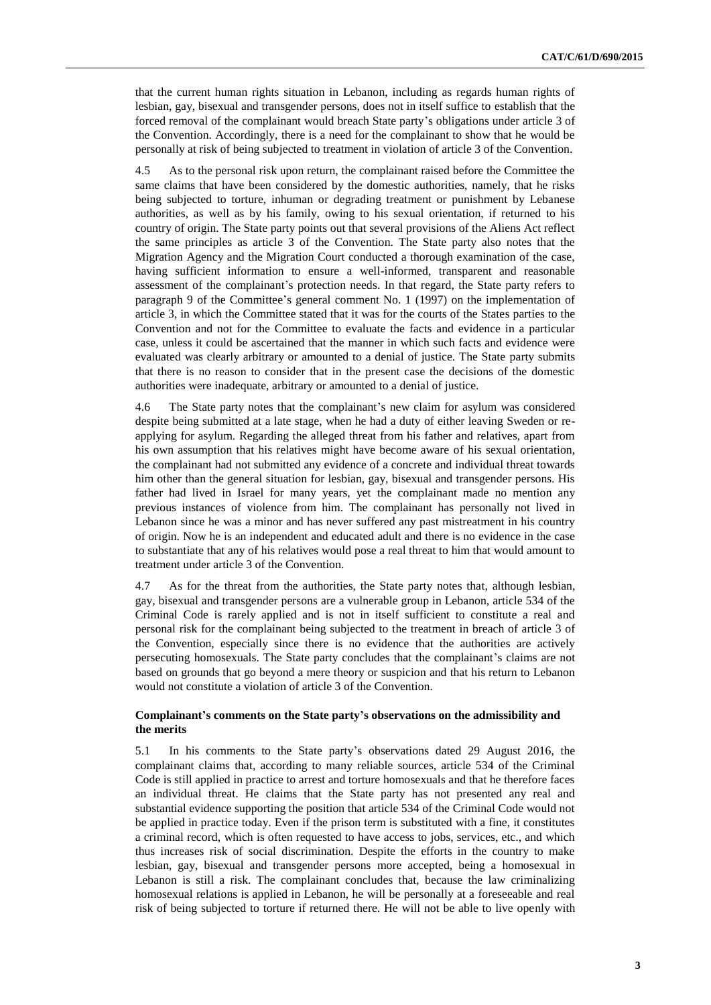that the current human rights situation in Lebanon, including as regards human rights of lesbian, gay, bisexual and transgender persons, does not in itself suffice to establish that the forced removal of the complainant would breach State party's obligations under article 3 of the Convention. Accordingly, there is a need for the complainant to show that he would be personally at risk of being subjected to treatment in violation of article 3 of the Convention.

4.5 As to the personal risk upon return, the complainant raised before the Committee the same claims that have been considered by the domestic authorities, namely, that he risks being subjected to torture, inhuman or degrading treatment or punishment by Lebanese authorities, as well as by his family, owing to his sexual orientation, if returned to his country of origin. The State party points out that several provisions of the Aliens Act reflect the same principles as article 3 of the Convention. The State party also notes that the Migration Agency and the Migration Court conducted a thorough examination of the case, having sufficient information to ensure a well-informed, transparent and reasonable assessment of the complainant's protection needs. In that regard, the State party refers to paragraph 9 of the Committee's general comment No. 1 (1997) on the implementation of article 3, in which the Committee stated that it was for the courts of the States parties to the Convention and not for the Committee to evaluate the facts and evidence in a particular case, unless it could be ascertained that the manner in which such facts and evidence were evaluated was clearly arbitrary or amounted to a denial of justice. The State party submits that there is no reason to consider that in the present case the decisions of the domestic authorities were inadequate, arbitrary or amounted to a denial of justice.

4.6 The State party notes that the complainant's new claim for asylum was considered despite being submitted at a late stage, when he had a duty of either leaving Sweden or reapplying for asylum. Regarding the alleged threat from his father and relatives, apart from his own assumption that his relatives might have become aware of his sexual orientation, the complainant had not submitted any evidence of a concrete and individual threat towards him other than the general situation for lesbian, gay, bisexual and transgender persons. His father had lived in Israel for many years, yet the complainant made no mention any previous instances of violence from him. The complainant has personally not lived in Lebanon since he was a minor and has never suffered any past mistreatment in his country of origin. Now he is an independent and educated adult and there is no evidence in the case to substantiate that any of his relatives would pose a real threat to him that would amount to treatment under article 3 of the Convention.

4.7 As for the threat from the authorities, the State party notes that, although lesbian, gay, bisexual and transgender persons are a vulnerable group in Lebanon, article 534 of the Criminal Code is rarely applied and is not in itself sufficient to constitute a real and personal risk for the complainant being subjected to the treatment in breach of article 3 of the Convention, especially since there is no evidence that the authorities are actively persecuting homosexuals. The State party concludes that the complainant's claims are not based on grounds that go beyond a mere theory or suspicion and that his return to Lebanon would not constitute a violation of article 3 of the Convention.

#### **Complainant's comments on the State party's observations on the admissibility and the merits**

5.1 In his comments to the State party's observations dated 29 August 2016, the complainant claims that, according to many reliable sources, article 534 of the Criminal Code is still applied in practice to arrest and torture homosexuals and that he therefore faces an individual threat. He claims that the State party has not presented any real and substantial evidence supporting the position that article 534 of the Criminal Code would not be applied in practice today. Even if the prison term is substituted with a fine, it constitutes a criminal record, which is often requested to have access to jobs, services, etc., and which thus increases risk of social discrimination. Despite the efforts in the country to make lesbian, gay, bisexual and transgender persons more accepted, being a homosexual in Lebanon is still a risk. The complainant concludes that, because the law criminalizing homosexual relations is applied in Lebanon, he will be personally at a foreseeable and real risk of being subjected to torture if returned there. He will not be able to live openly with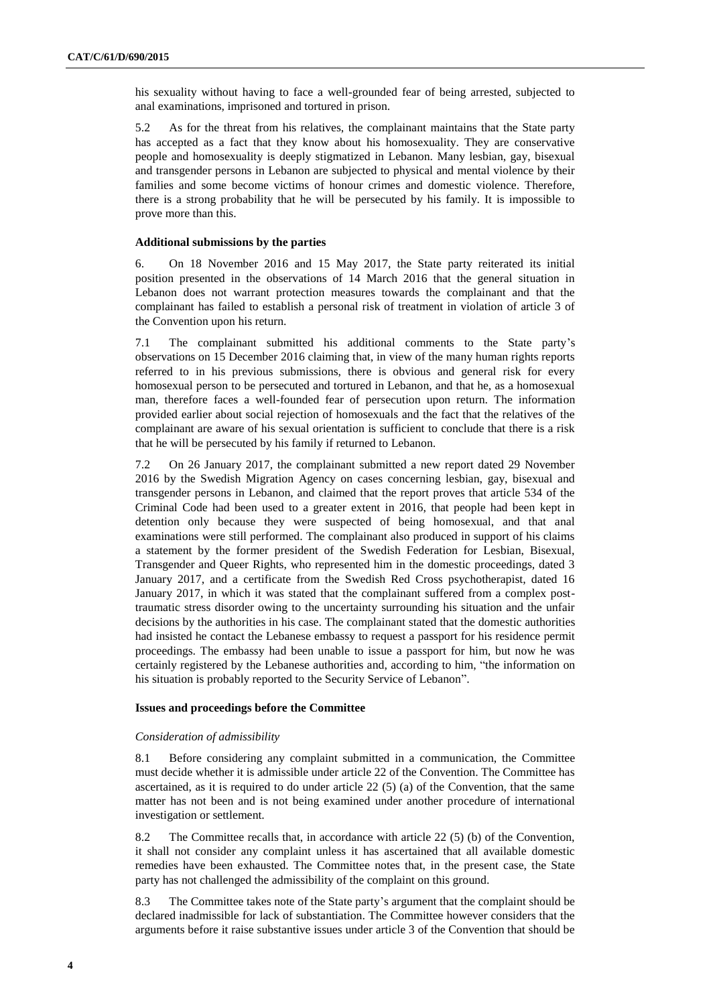his sexuality without having to face a well-grounded fear of being arrested, subjected to anal examinations, imprisoned and tortured in prison.

5.2 As for the threat from his relatives, the complainant maintains that the State party has accepted as a fact that they know about his homosexuality. They are conservative people and homosexuality is deeply stigmatized in Lebanon. Many lesbian, gay, bisexual and transgender persons in Lebanon are subjected to physical and mental violence by their families and some become victims of honour crimes and domestic violence. Therefore, there is a strong probability that he will be persecuted by his family. It is impossible to prove more than this.

#### **Additional submissions by the parties**

6. On 18 November 2016 and 15 May 2017, the State party reiterated its initial position presented in the observations of 14 March 2016 that the general situation in Lebanon does not warrant protection measures towards the complainant and that the complainant has failed to establish a personal risk of treatment in violation of article 3 of the Convention upon his return.

7.1 The complainant submitted his additional comments to the State party's observations on 15 December 2016 claiming that, in view of the many human rights reports referred to in his previous submissions, there is obvious and general risk for every homosexual person to be persecuted and tortured in Lebanon, and that he, as a homosexual man, therefore faces a well-founded fear of persecution upon return. The information provided earlier about social rejection of homosexuals and the fact that the relatives of the complainant are aware of his sexual orientation is sufficient to conclude that there is a risk that he will be persecuted by his family if returned to Lebanon.

7.2 On 26 January 2017, the complainant submitted a new report dated 29 November 2016 by the Swedish Migration Agency on cases concerning lesbian, gay, bisexual and transgender persons in Lebanon, and claimed that the report proves that article 534 of the Criminal Code had been used to a greater extent in 2016, that people had been kept in detention only because they were suspected of being homosexual, and that anal examinations were still performed. The complainant also produced in support of his claims a statement by the former president of the Swedish Federation for Lesbian, Bisexual, Transgender and Queer Rights, who represented him in the domestic proceedings, dated 3 January 2017, and a certificate from the Swedish Red Cross psychotherapist, dated 16 January 2017, in which it was stated that the complainant suffered from a complex posttraumatic stress disorder owing to the uncertainty surrounding his situation and the unfair decisions by the authorities in his case. The complainant stated that the domestic authorities had insisted he contact the Lebanese embassy to request a passport for his residence permit proceedings. The embassy had been unable to issue a passport for him, but now he was certainly registered by the Lebanese authorities and, according to him, "the information on his situation is probably reported to the Security Service of Lebanon".

#### **Issues and proceedings before the Committee**

#### *Consideration of admissibility*

8.1 Before considering any complaint submitted in a communication, the Committee must decide whether it is admissible under article 22 of the Convention. The Committee has ascertained, as it is required to do under article  $22(5)$  (a) of the Convention, that the same matter has not been and is not being examined under another procedure of international investigation or settlement.

8.2 The Committee recalls that, in accordance with article 22 (5) (b) of the Convention, it shall not consider any complaint unless it has ascertained that all available domestic remedies have been exhausted. The Committee notes that, in the present case, the State party has not challenged the admissibility of the complaint on this ground.

8.3 The Committee takes note of the State party's argument that the complaint should be declared inadmissible for lack of substantiation. The Committee however considers that the arguments before it raise substantive issues under article 3 of the Convention that should be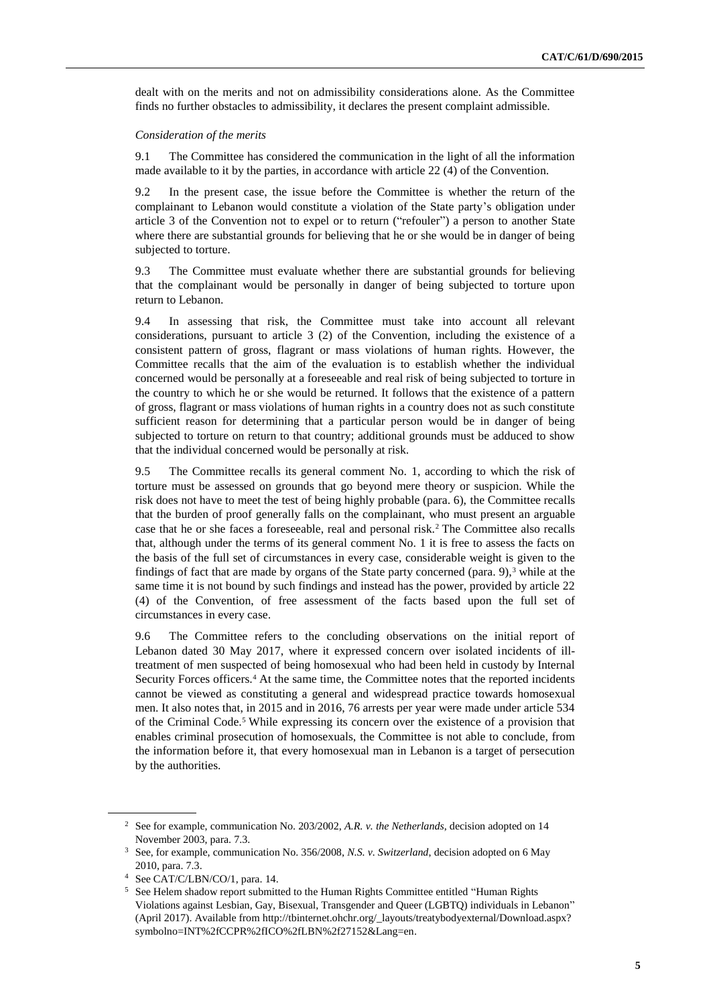dealt with on the merits and not on admissibility considerations alone. As the Committee finds no further obstacles to admissibility, it declares the present complaint admissible.

#### *Consideration of the merits*

9.1 The Committee has considered the communication in the light of all the information made available to it by the parties, in accordance with article 22 (4) of the Convention.

9.2 In the present case, the issue before the Committee is whether the return of the complainant to Lebanon would constitute a violation of the State party's obligation under article 3 of the Convention not to expel or to return ("refouler") a person to another State where there are substantial grounds for believing that he or she would be in danger of being subjected to torture.

9.3 The Committee must evaluate whether there are substantial grounds for believing that the complainant would be personally in danger of being subjected to torture upon return to Lebanon.

9.4 In assessing that risk, the Committee must take into account all relevant considerations, pursuant to article 3 (2) of the Convention, including the existence of a consistent pattern of gross, flagrant or mass violations of human rights. However, the Committee recalls that the aim of the evaluation is to establish whether the individual concerned would be personally at a foreseeable and real risk of being subjected to torture in the country to which he or she would be returned. It follows that the existence of a pattern of gross, flagrant or mass violations of human rights in a country does not as such constitute sufficient reason for determining that a particular person would be in danger of being subjected to torture on return to that country; additional grounds must be adduced to show that the individual concerned would be personally at risk.

9.5 The Committee recalls its general comment No. 1, according to which the risk of torture must be assessed on grounds that go beyond mere theory or suspicion. While the risk does not have to meet the test of being highly probable (para. 6), the Committee recalls that the burden of proof generally falls on the complainant, who must present an arguable case that he or she faces a foreseeable, real and personal risk.<sup>2</sup> The Committee also recalls that, although under the terms of its general comment No. 1 it is free to assess the facts on the basis of the full set of circumstances in every case, considerable weight is given to the findings of fact that are made by organs of the State party concerned (para.  $9$ ), $3$  while at the same time it is not bound by such findings and instead has the power, provided by article 22 (4) of the Convention, of free assessment of the facts based upon the full set of circumstances in every case.

9.6 The Committee refers to the concluding observations on the initial report of Lebanon dated 30 May 2017, where it expressed concern over isolated incidents of illtreatment of men suspected of being homosexual who had been held in custody by Internal Security Forces officers.<sup>4</sup> At the same time, the Committee notes that the reported incidents cannot be viewed as constituting a general and widespread practice towards homosexual men. It also notes that, in 2015 and in 2016, 76 arrests per year were made under article 534 of the Criminal Code.<sup>5</sup> While expressing its concern over the existence of a provision that enables criminal prosecution of homosexuals, the Committee is not able to conclude, from the information before it, that every homosexual man in Lebanon is a target of persecution by the authorities.

<sup>2</sup> See for example, communication No. 203/2002, *A.R. v. the Netherlands*, decision adopted on 14 November 2003, para. 7.3.

<sup>3</sup> See, for example, communication No. 356/2008, *N.S. v. Switzerland*, decision adopted on 6 May 2010, para. 7.3.

<sup>4</sup> See CAT/C/LBN/CO/1, para. 14.

<sup>5</sup> See Helem shadow report submitted to the Human Rights Committee entitled "Human Rights Violations against Lesbian, Gay, Bisexual, Transgender and Queer (LGBTQ) individuals in Lebanon" (April 2017). Available from [http://tbinternet.ohchr.org/\\_layouts/treatybodyexternal/Download.aspx?](http://tbinternet.ohchr.org/_layouts/treatybodyexternal/Download.aspx?symbolno=INT%2fCCPR%2fICO%2fLBN%2f27152&Lang=en) [symbolno=INT%2fCCPR%2fICO%2fLBN%2f27152&Lang=en.](http://tbinternet.ohchr.org/_layouts/treatybodyexternal/Download.aspx?symbolno=INT%2fCCPR%2fICO%2fLBN%2f27152&Lang=en)